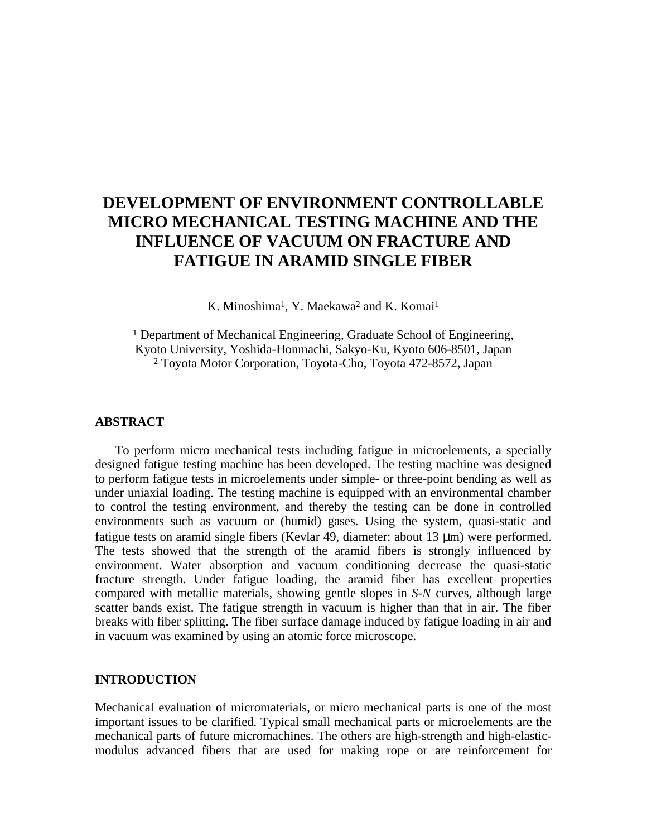# **DEVELOPMENT OF ENVIRONMENT CONTROLLABLE MICRO MECHANICAL TESTING MACHINE AND THE INFLUENCE OF VACUUM ON FRACTURE AND FATIGUE IN ARAMID SINGLE FIBER**

K. Minoshima<sup>1</sup>, Y. Maekawa<sup>2</sup> and K. Komai<sup>1</sup>

<sup>1</sup> Department of Mechanical Engineering, Graduate School of Engineering, Kyoto University, Yoshida-Honmachi, Sakyo-Ku, Kyoto 606-8501, Japan 2 Toyota Motor Corporation, Toyota-Cho, Toyota 472-8572, Japan

## **ABSTRACT**

To perform micro mechanical tests including fatigue in microelements, a specially designed fatigue testing machine has been developed. The testing machine was designed to perform fatigue tests in microelements under simple- or three-point bending as well as under uniaxial loading. The testing machine is equipped with an environmental chamber to control the testing environment, and thereby the testing can be done in controlled environments such as vacuum or (humid) gases. Using the system, quasi-static and fatigue tests on aramid single fibers (Kevlar 49, diameter: about 13 µm) were performed. The tests showed that the strength of the aramid fibers is strongly influenced by environment. Water absorption and vacuum conditioning decrease the quasi-static fracture strength. Under fatigue loading, the aramid fiber has excellent properties compared with metallic materials, showing gentle slopes in *S-N* curves, although large scatter bands exist. The fatigue strength in vacuum is higher than that in air. The fiber breaks with fiber splitting. The fiber surface damage induced by fatigue loading in air and in vacuum was examined by using an atomic force microscope.

#### **INTRODUCTION**

Mechanical evaluation of micromaterials, or micro mechanical parts is one of the most important issues to be clarified. Typical small mechanical parts or microelements are the mechanical parts of future micromachines. The others are high-strength and high-elasticmodulus advanced fibers that are used for making rope or are reinforcement for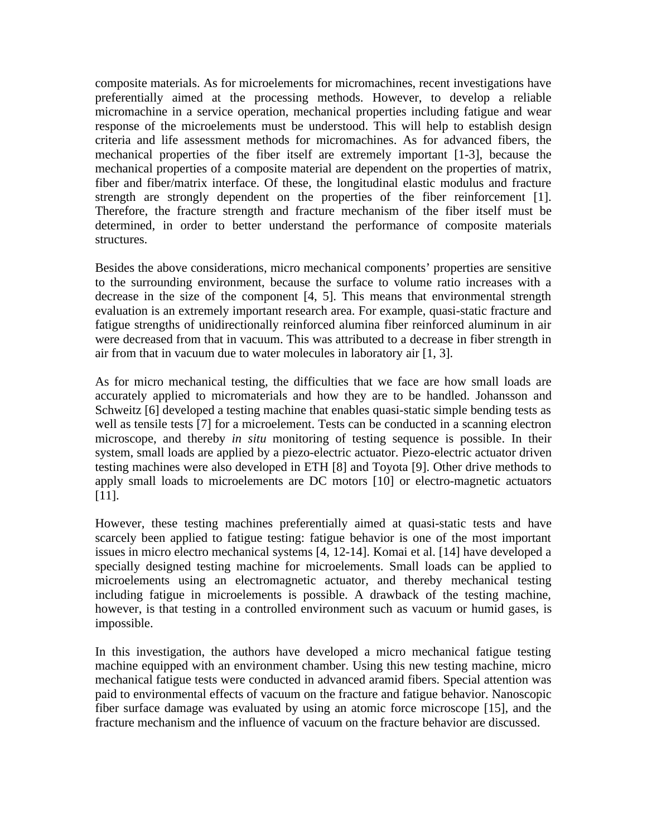composite materials. As for microelements for micromachines, recent investigations have preferentially aimed at the processing methods. However, to develop a reliable micromachine in a service operation, mechanical properties including fatigue and wear response of the microelements must be understood. This will help to establish design criteria and life assessment methods for micromachines. As for advanced fibers, the mechanical properties of the fiber itself are extremely important [1-3], because the mechanical properties of a composite material are dependent on the properties of matrix, fiber and fiber/matrix interface. Of these, the longitudinal elastic modulus and fracture strength are strongly dependent on the properties of the fiber reinforcement [1]. Therefore, the fracture strength and fracture mechanism of the fiber itself must be determined, in order to better understand the performance of composite materials structures.

Besides the above considerations, micro mechanical components' properties are sensitive to the surrounding environment, because the surface to volume ratio increases with a decrease in the size of the component [4, 5]. This means that environmental strength evaluation is an extremely important research area. For example, quasi-static fracture and fatigue strengths of unidirectionally reinforced alumina fiber reinforced aluminum in air were decreased from that in vacuum. This was attributed to a decrease in fiber strength in air from that in vacuum due to water molecules in laboratory air [1, 3].

As for micro mechanical testing, the difficulties that we face are how small loads are accurately applied to micromaterials and how they are to be handled. Johansson and Schweitz [6] developed a testing machine that enables quasi-static simple bending tests as well as tensile tests [7] for a microelement. Tests can be conducted in a scanning electron microscope, and thereby *in situ* monitoring of testing sequence is possible. In their system, small loads are applied by a piezo-electric actuator. Piezo-electric actuator driven testing machines were also developed in ETH [8] and Toyota [9]. Other drive methods to apply small loads to microelements are DC motors [10] or electro-magnetic actuators [11].

However, these testing machines preferentially aimed at quasi-static tests and have scarcely been applied to fatigue testing: fatigue behavior is one of the most important issues in micro electro mechanical systems [4, 12-14]. Komai et al. [14] have developed a specially designed testing machine for microelements. Small loads can be applied to microelements using an electromagnetic actuator, and thereby mechanical testing including fatigue in microelements is possible. A drawback of the testing machine, however, is that testing in a controlled environment such as vacuum or humid gases, is impossible.

In this investigation, the authors have developed a micro mechanical fatigue testing machine equipped with an environment chamber. Using this new testing machine, micro mechanical fatigue tests were conducted in advanced aramid fibers. Special attention was paid to environmental effects of vacuum on the fracture and fatigue behavior. Nanoscopic fiber surface damage was evaluated by using an atomic force microscope [15], and the fracture mechanism and the influence of vacuum on the fracture behavior are discussed.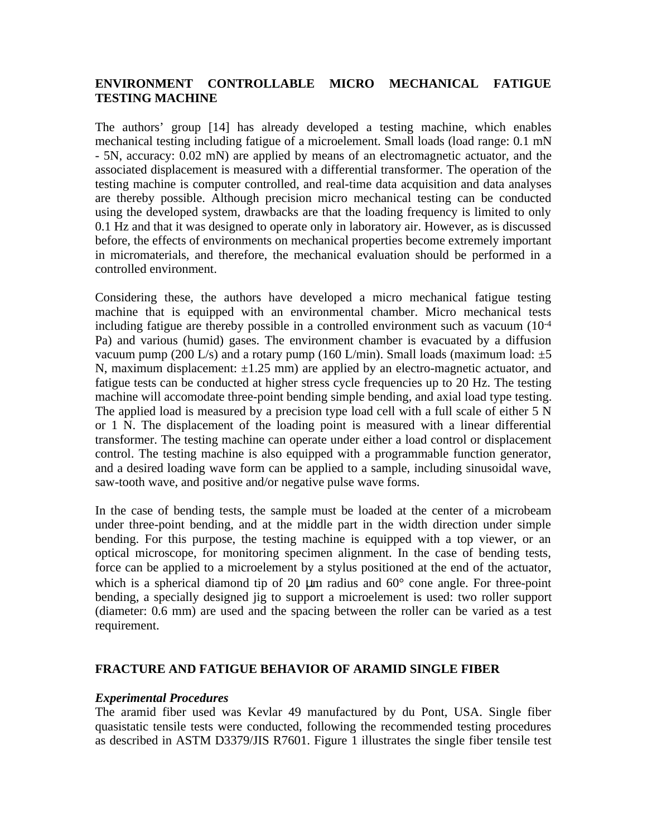# **ENVIRONMENT CONTROLLABLE MICRO MECHANICAL FATIGUE TESTING MACHINE**

The authors' group [14] has already developed a testing machine, which enables mechanical testing including fatigue of a microelement. Small loads (load range: 0.1 mN - 5N, accuracy: 0.02 mN) are applied by means of an electromagnetic actuator, and the associated displacement is measured with a differential transformer. The operation of the testing machine is computer controlled, and real-time data acquisition and data analyses are thereby possible. Although precision micro mechanical testing can be conducted using the developed system, drawbacks are that the loading frequency is limited to only 0.1 Hz and that it was designed to operate only in laboratory air. However, as is discussed before, the effects of environments on mechanical properties become extremely important in micromaterials, and therefore, the mechanical evaluation should be performed in a controlled environment.

Considering these, the authors have developed a micro mechanical fatigue testing machine that is equipped with an environmental chamber. Micro mechanical tests including fatigue are thereby possible in a controlled environment such as vacuum (10-4 Pa) and various (humid) gases. The environment chamber is evacuated by a diffusion vacuum pump (200 L/s) and a rotary pump (160 L/min). Small loads (maximum load:  $\pm 5$ N, maximum displacement:  $\pm 1.25$  mm) are applied by an electro-magnetic actuator, and fatigue tests can be conducted at higher stress cycle frequencies up to 20 Hz. The testing machine will accomodate three-point bending simple bending, and axial load type testing. The applied load is measured by a precision type load cell with a full scale of either 5 N or 1 N. The displacement of the loading point is measured with a linear differential transformer. The testing machine can operate under either a load control or displacement control. The testing machine is also equipped with a programmable function generator, and a desired loading wave form can be applied to a sample, including sinusoidal wave, saw-tooth wave, and positive and/or negative pulse wave forms.

In the case of bending tests, the sample must be loaded at the center of a microbeam under three-point bending, and at the middle part in the width direction under simple bending. For this purpose, the testing machine is equipped with a top viewer, or an optical microscope, for monitoring specimen alignment. In the case of bending tests, force can be applied to a microelement by a stylus positioned at the end of the actuator, which is a spherical diamond tip of 20  $\mu$ m radius and 60 $^{\circ}$  cone angle. For three-point bending, a specially designed jig to support a microelement is used: two roller support (diameter: 0.6 mm) are used and the spacing between the roller can be varied as a test requirement.

## **FRACTURE AND FATIGUE BEHAVIOR OF ARAMID SINGLE FIBER**

#### *Experimental Procedures*

The aramid fiber used was Kevlar 49 manufactured by du Pont, USA. Single fiber quasistatic tensile tests were conducted, following the recommended testing procedures as described in ASTM D3379/JIS R7601. Figure 1 illustrates the single fiber tensile test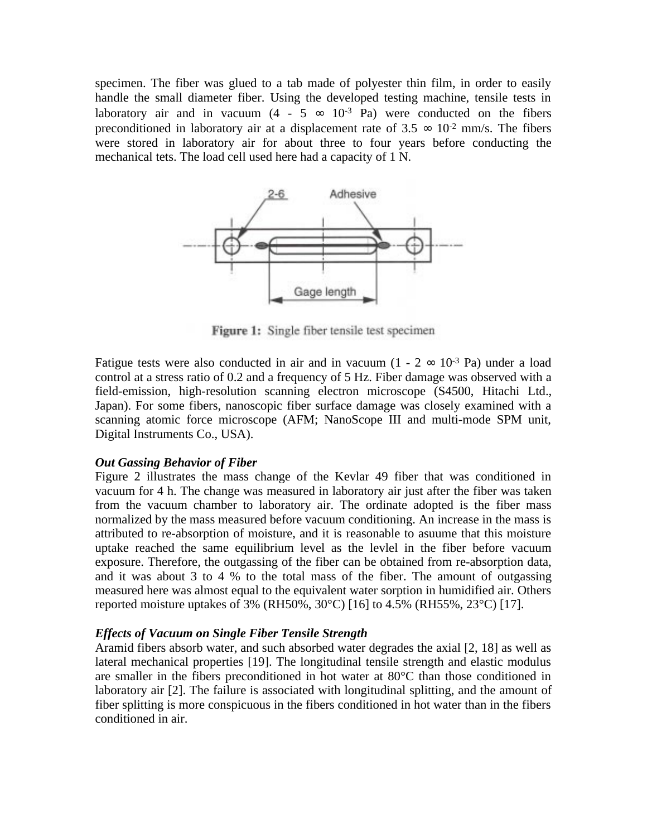specimen. The fiber was glued to a tab made of polyester thin film, in order to easily handle the small diameter fiber. Using the developed testing machine, tensile tests in laboratory air and in vacuum  $(4 - 5 \approx 10^{-3} \text{ Pa})$  were conducted on the fibers preconditioned in laboratory air at a displacement rate of  $3.5 \approx 10^{-2}$  mm/s. The fibers were stored in laboratory air for about three to four years before conducting the mechanical tets. The load cell used here had a capacity of 1 N.



Figure 1: Single fiber tensile test specimen

Fatigue tests were also conducted in air and in vacuum  $(1 - 2 \approx 10^{-3} \text{ Pa})$  under a load control at a stress ratio of 0.2 and a frequency of 5 Hz. Fiber damage was observed with a field-emission, high-resolution scanning electron microscope (S4500, Hitachi Ltd., Japan). For some fibers, nanoscopic fiber surface damage was closely examined with a scanning atomic force microscope (AFM; NanoScope III and multi-mode SPM unit, Digital Instruments Co., USA).

## *Out Gassing Behavior of Fiber*

Figure 2 illustrates the mass change of the Kevlar 49 fiber that was conditioned in vacuum for 4 h. The change was measured in laboratory air just after the fiber was taken from the vacuum chamber to laboratory air. The ordinate adopted is the fiber mass normalized by the mass measured before vacuum conditioning. An increase in the mass is attributed to re-absorption of moisture, and it is reasonable to asuume that this moisture uptake reached the same equilibrium level as the levlel in the fiber before vacuum exposure. Therefore, the outgassing of the fiber can be obtained from re-absorption data, and it was about 3 to 4 % to the total mass of the fiber. The amount of outgassing measured here was almost equal to the equivalent water sorption in humidified air. Others reported moisture uptakes of 3% (RH50%, 30°C) [16] to 4.5% (RH55%, 23°C) [17].

## *Effects of Vacuum on Single Fiber Tensile Strength*

Aramid fibers absorb water, and such absorbed water degrades the axial [2, 18] as well as lateral mechanical properties [19]. The longitudinal tensile strength and elastic modulus are smaller in the fibers preconditioned in hot water at 80°C than those conditioned in laboratory air [2]. The failure is associated with longitudinal splitting, and the amount of fiber splitting is more conspicuous in the fibers conditioned in hot water than in the fibers conditioned in air.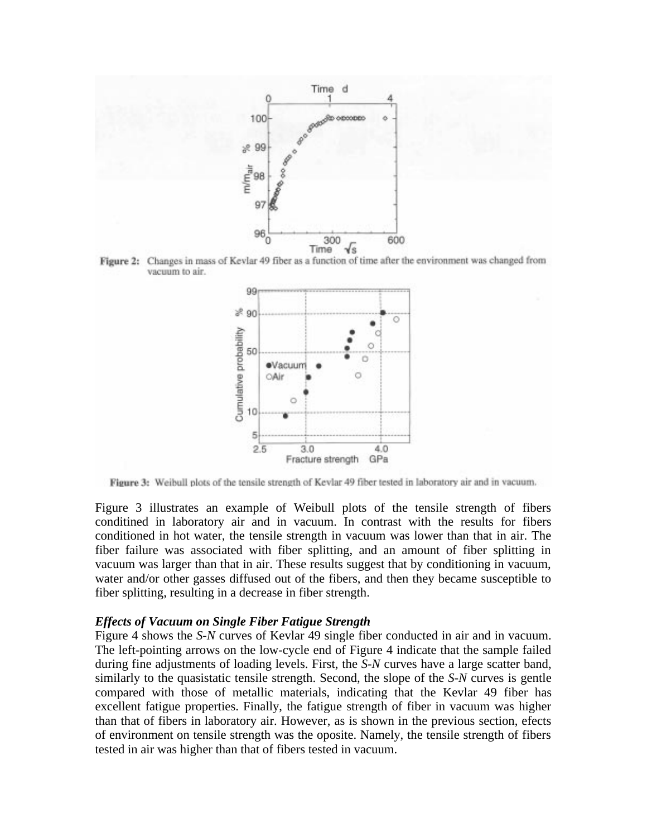





Figure 3: Weibull plots of the tensile strength of Kevlar 49 fiber tested in laboratory air and in vacuum.

Figure 3 illustrates an example of Weibull plots of the tensile strength of fibers conditined in laboratory air and in vacuum. In contrast with the results for fibers conditioned in hot water, the tensile strength in vacuum was lower than that in air. The fiber failure was associated with fiber splitting, and an amount of fiber splitting in vacuum was larger than that in air. These results suggest that by conditioning in vacuum, water and/or other gasses diffused out of the fibers, and then they became susceptible to fiber splitting, resulting in a decrease in fiber strength.

#### *Effects of Vacuum on Single Fiber Fatigue Strength*

Figure 4 shows the *S-N* curves of Kevlar 49 single fiber conducted in air and in vacuum. The left-pointing arrows on the low-cycle end of Figure 4 indicate that the sample failed during fine adjustments of loading levels. First, the *S-N* curves have a large scatter band, similarly to the quasistatic tensile strength. Second, the slope of the *S-N* curves is gentle compared with those of metallic materials, indicating that the Kevlar 49 fiber has excellent fatigue properties. Finally, the fatigue strength of fiber in vacuum was higher than that of fibers in laboratory air. However, as is shown in the previous section, efects of environment on tensile strength was the oposite. Namely, the tensile strength of fibers tested in air was higher than that of fibers tested in vacuum.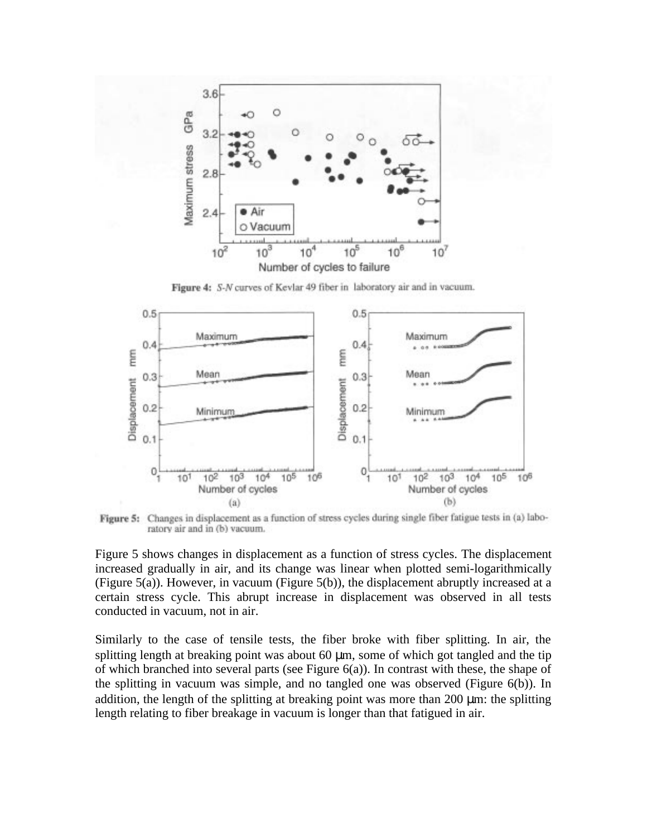

Figure 4: S-N curves of Kevlar 49 fiber in laboratory air and in vacuum.



Figure 5: Changes in displacement as a function of stress cycles during single fiber fatigue tests in (a) laboratory air and in (b) vacuum.

Figure 5 shows changes in displacement as a function of stress cycles. The displacement increased gradually in air, and its change was linear when plotted semi-logarithmically (Figure 5(a)). However, in vacuum (Figure 5(b)), the displacement abruptly increased at a certain stress cycle. This abrupt increase in displacement was observed in all tests conducted in vacuum, not in air.

Similarly to the case of tensile tests, the fiber broke with fiber splitting. In air, the splitting length at breaking point was about 60  $\mu$ m, some of which got tangled and the tip of which branched into several parts (see Figure 6(a)). In contrast with these, the shape of the splitting in vacuum was simple, and no tangled one was observed (Figure 6(b)). In addition, the length of the splitting at breaking point was more than 200  $\mu$ m: the splitting length relating to fiber breakage in vacuum is longer than that fatigued in air.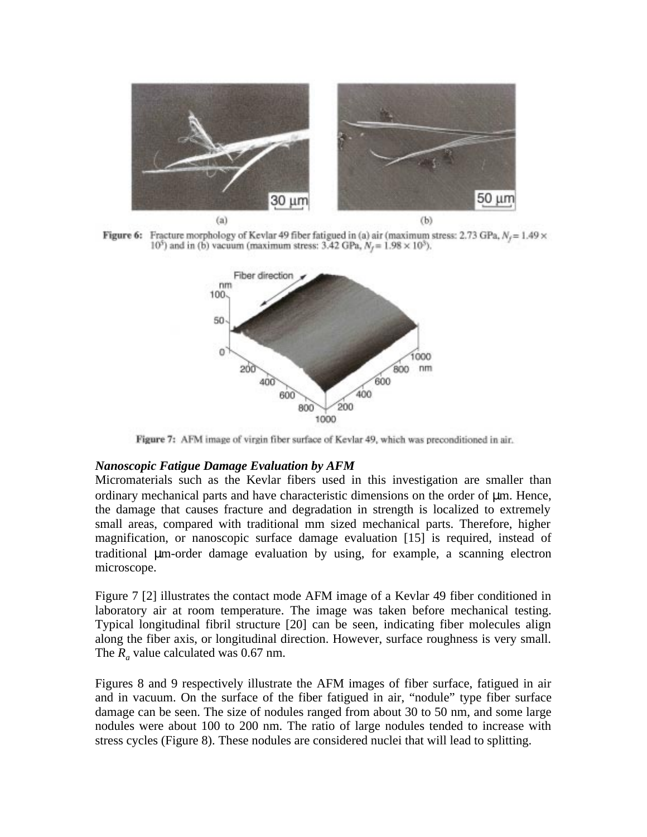

Figure 6: Fracture morphology of Kevlar 49 fiber fatigued in (a) air (maximum stress: 2.73 GPa,  $N_f$  = 1.49  $\times$  $10^5$ ) and in (b) vacuum (maximum stress: 3.42 GPa,  $N_f = 1.98 \times 10^5$ ).



Figure 7: AFM image of virgin fiber surface of Kevlar 49, which was preconditioned in air.

#### *Nanoscopic Fatigue Damage Evaluation by AFM*

Micromaterials such as the Kevlar fibers used in this investigation are smaller than ordinary mechanical parts and have characteristic dimensions on the order of µm. Hence, the damage that causes fracture and degradation in strength is localized to extremely small areas, compared with traditional mm sized mechanical parts. Therefore, higher magnification, or nanoscopic surface damage evaluation [15] is required, instead of traditional µm-order damage evaluation by using, for example, a scanning electron microscope.

Figure 7 [2] illustrates the contact mode AFM image of a Kevlar 49 fiber conditioned in laboratory air at room temperature. The image was taken before mechanical testing. Typical longitudinal fibril structure [20] can be seen, indicating fiber molecules align along the fiber axis, or longitudinal direction. However, surface roughness is very small. The  $R_a$  value calculated was 0.67 nm.

Figures 8 and 9 respectively illustrate the AFM images of fiber surface, fatigued in air and in vacuum. On the surface of the fiber fatigued in air, "nodule" type fiber surface damage can be seen. The size of nodules ranged from about 30 to 50 nm, and some large nodules were about 100 to 200 nm. The ratio of large nodules tended to increase with stress cycles (Figure 8). These nodules are considered nuclei that will lead to splitting.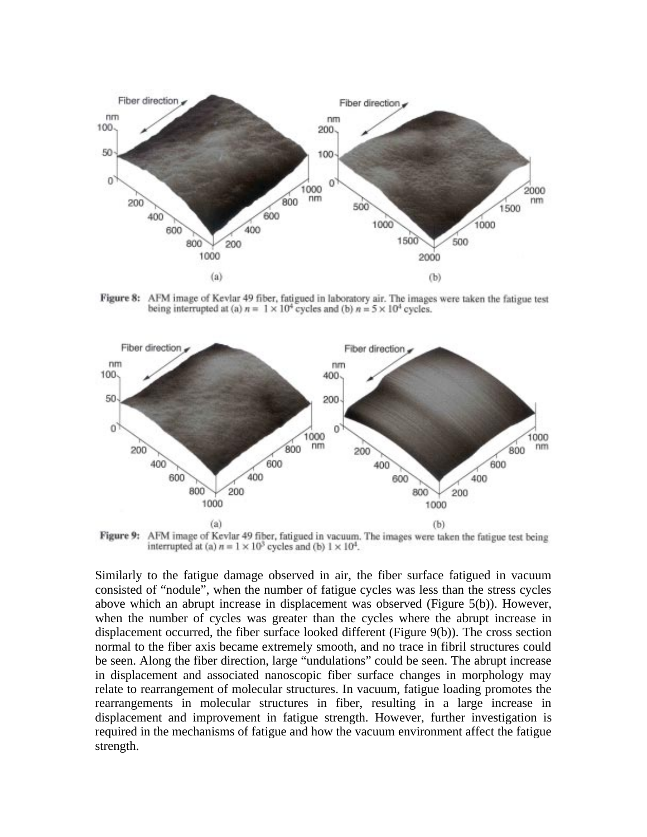

Figure 8: AFM image of Kevlar 49 fiber, fatigued in laboratory air. The images were taken the fatigue test being interrupted at (a)  $n = 1 \times 10^4$  cycles and (b)  $n = 5 \times 10^4$  cycles.



AFM image of Kevlar 49 fiber, fatigued in vacuum. The images were taken the fatigue test being Figure 9: interrupted at (a)  $n = 1 \times 10^3$  cycles and (b)  $1 \times 10^4$ .

Similarly to the fatigue damage observed in air, the fiber surface fatigued in vacuum consisted of "nodule", when the number of fatigue cycles was less than the stress cycles above which an abrupt increase in displacement was observed (Figure 5(b)). However, when the number of cycles was greater than the cycles where the abrupt increase in displacement occurred, the fiber surface looked different (Figure 9(b)). The cross section normal to the fiber axis became extremely smooth, and no trace in fibril structures could be seen. Along the fiber direction, large "undulations" could be seen. The abrupt increase in displacement and associated nanoscopic fiber surface changes in morphology may relate to rearrangement of molecular structures. In vacuum, fatigue loading promotes the rearrangements in molecular structures in fiber, resulting in a large increase in displacement and improvement in fatigue strength. However, further investigation is required in the mechanisms of fatigue and how the vacuum environment affect the fatigue strength.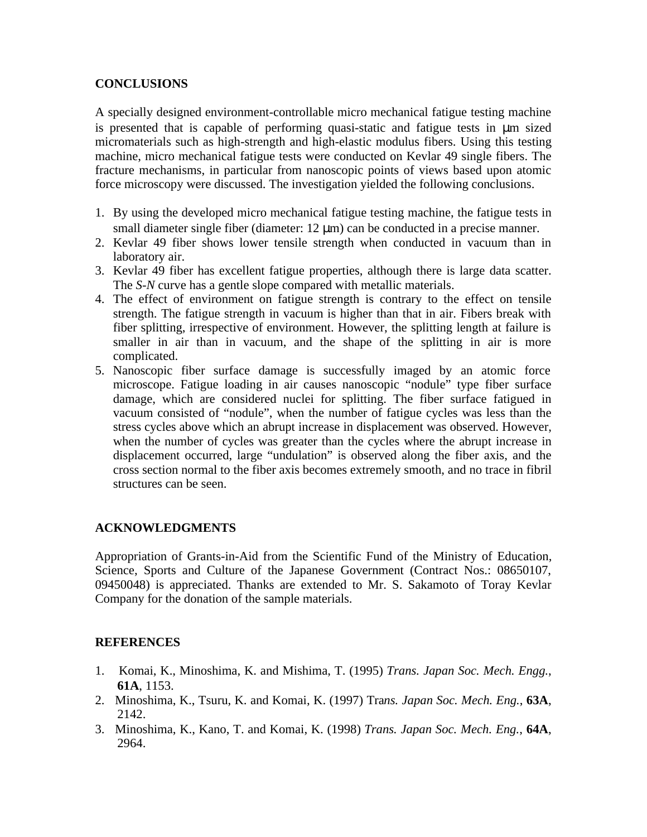# **CONCLUSIONS**

A specially designed environment-controllable micro mechanical fatigue testing machine is presented that is capable of performing quasi-static and fatigue tests in µm sized micromaterials such as high-strength and high-elastic modulus fibers. Using this testing machine, micro mechanical fatigue tests were conducted on Kevlar 49 single fibers. The fracture mechanisms, in particular from nanoscopic points of views based upon atomic force microscopy were discussed. The investigation yielded the following conclusions.

- 1. By using the developed micro mechanical fatigue testing machine, the fatigue tests in small diameter single fiber (diameter: 12  $\mu$ m) can be conducted in a precise manner.
- 2. Kevlar 49 fiber shows lower tensile strength when conducted in vacuum than in laboratory air.
- 3. Kevlar 49 fiber has excellent fatigue properties, although there is large data scatter. The *S-N* curve has a gentle slope compared with metallic materials.
- 4. The effect of environment on fatigue strength is contrary to the effect on tensile strength. The fatigue strength in vacuum is higher than that in air. Fibers break with fiber splitting, irrespective of environment. However, the splitting length at failure is smaller in air than in vacuum, and the shape of the splitting in air is more complicated.
- 5. Nanoscopic fiber surface damage is successfully imaged by an atomic force microscope. Fatigue loading in air causes nanoscopic "nodule" type fiber surface damage, which are considered nuclei for splitting. The fiber surface fatigued in vacuum consisted of "nodule", when the number of fatigue cycles was less than the stress cycles above which an abrupt increase in displacement was observed. However, when the number of cycles was greater than the cycles where the abrupt increase in displacement occurred, large "undulation" is observed along the fiber axis, and the cross section normal to the fiber axis becomes extremely smooth, and no trace in fibril structures can be seen.

# **ACKNOWLEDGMENTS**

Appropriation of Grants-in-Aid from the Scientific Fund of the Ministry of Education, Science, Sports and Culture of the Japanese Government (Contract Nos.: 08650107, 09450048) is appreciated. Thanks are extended to Mr. S. Sakamoto of Toray Kevlar Company for the donation of the sample materials.

# **REFERENCES**

- 1. Komai, K., Minoshima, K. and Mishima, T. (1995) *Trans. Japan Soc. Mech. Engg.*, **61A**, 1153.
- 2. Minoshima, K., Tsuru, K. and Komai, K. (1997) Tra*ns. Japan Soc. Mech. Eng.*, **63A**, 2142.
- 3. Minoshima, K., Kano, T. and Komai, K. (1998) *Trans. Japan Soc. Mech. Eng.*, **64A**, 2964.